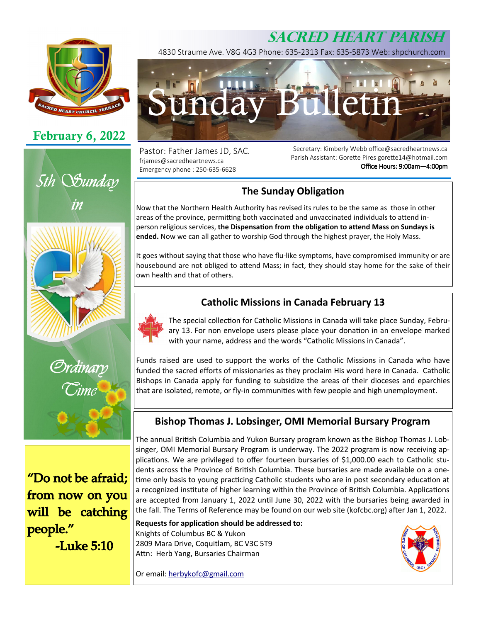# **SACRED HEART PARISH**



# **February 6, 2022**





"Do not be afraid: from now on you will be catching people." **-Luke 5:10** 

4830 Straume Ave. V8G 4G3 Phone: 635-2313 Fax: 635-5873 Web: shpchurch.com



Pastor: Father James JD, SAC. frjames@sacredheartnews.ca Emergency phone : 250-635-6628

Secretary: Kimberly Webb office@sacredheartnews.ca Parish Assistant: Gorette Pires gorette14@hotmail.com Office Hours: 9:00am-4:00pm

### **The Sunday Obligation**

Now that the Northern Health Authority has revised its rules to be the same as those in other areas of the province, permitting both vaccinated and unvaccinated individuals to attend inperson religious services, the Dispensation from the obligation to attend Mass on Sundays is **ended.** Now we can all gather to worship God through the highest prayer, the Holy Mass.

It goes without saying that those who have flu-like symptoms, have compromised immunity or are housebound are not obliged to attend Mass; in fact, they should stay home for the sake of their own health and that of others.

### **Catholic Missions in Canada February 13**

The special collection for Catholic Missions in Canada will take place Sunday, February 13. For non envelope users please place your donation in an envelope marked with your name, address and the words "Catholic Missions in Canada".

Funds raised are used to support the works of the Catholic Missions in Canada who have funded the sacred efforts of missionaries as they proclaim His word here in Canada. Catholic Bishops in Canada apply for funding to subsidize the areas of their dioceses and eparchies that are isolated, remote, or fly-in communities with few people and high unemployment.

### **Bishop Thomas J. Lobsinger, OMI Memorial Bursary Program**

The annual British Columbia and Yukon Bursary program known as the Bishop Thomas J. Lobsinger, OMI Memorial Bursary Program is underway. The 2022 program is now receiving applications. We are privileged to offer fourteen bursaries of \$1,000.00 each to Catholic students across the Province of British Columbia. These bursaries are made available on a onetime only basis to young practicing Catholic students who are in post secondary education at a recognized institute of higher learning within the Province of British Columbia. Applications are accepted from January 1, 2022 until June 30, 2022 with the bursaries being awarded in the fall. The Terms of Reference may be found on our web site (kofcbc.org) after Jan 1, 2022.

**Requests for application should be addressed to:** Knights of Columbus BC & Yukon 2809 Mara Drive, Coquitlam, BC V3C 5T9 Attn: Herb Yang, Bursaries Chairman

Or email: herbykofc@gmail.com